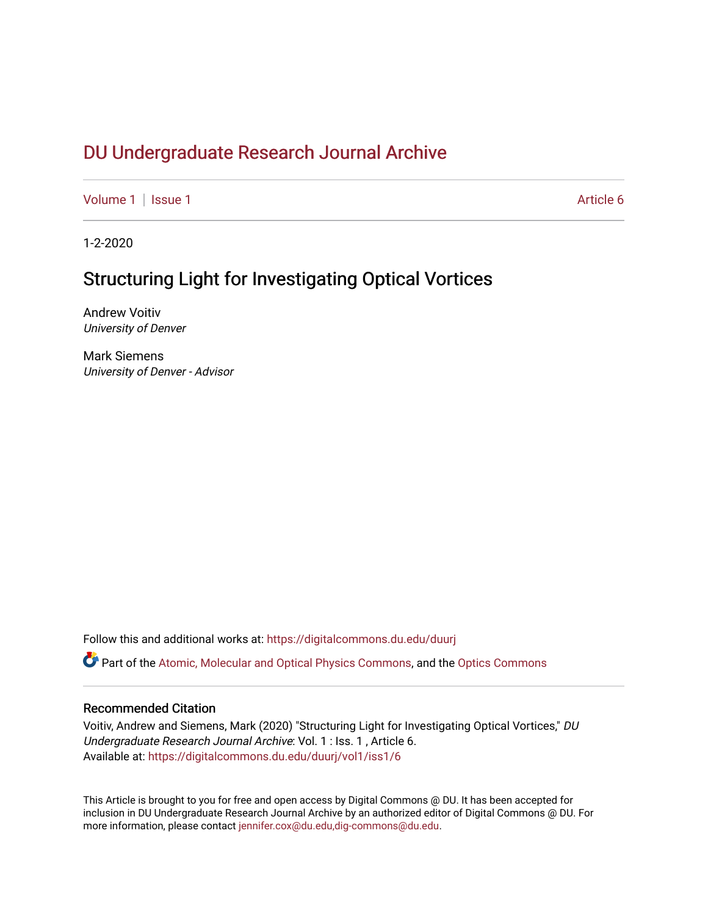# DU Undergr[aduate Research Journal Ar](https://digitalcommons.du.edu/duurj)chive

[Volume 1](https://digitalcommons.du.edu/duurj/vol1) | [Issue 1](https://digitalcommons.du.edu/duurj/vol1/iss1) Article 6

1-2-2020

# Structuring Light for Investigating Optical Vortices

Andrew Voitiv University of Denver

Mark Siemens University of Denver - Advisor

Follow this and additional works at: [https://digitalcommons.du.edu/duurj](https://digitalcommons.du.edu/duurj?utm_source=digitalcommons.du.edu%2Fduurj%2Fvol1%2Fiss1%2F6&utm_medium=PDF&utm_campaign=PDFCoverPages) 

Part of the [Atomic, Molecular and Optical Physics Commons,](http://network.bepress.com/hgg/discipline/195?utm_source=digitalcommons.du.edu%2Fduurj%2Fvol1%2Fiss1%2F6&utm_medium=PDF&utm_campaign=PDFCoverPages) and the [Optics Commons](http://network.bepress.com/hgg/discipline/204?utm_source=digitalcommons.du.edu%2Fduurj%2Fvol1%2Fiss1%2F6&utm_medium=PDF&utm_campaign=PDFCoverPages)

### Recommended Citation

Voitiv, Andrew and Siemens, Mark (2020) "Structuring Light for Investigating Optical Vortices," DU Undergraduate Research Journal Archive: Vol. 1 : Iss. 1 , Article 6. Available at: [https://digitalcommons.du.edu/duurj/vol1/iss1/6](https://digitalcommons.du.edu/duurj/vol1/iss1/6?utm_source=digitalcommons.du.edu%2Fduurj%2Fvol1%2Fiss1%2F6&utm_medium=PDF&utm_campaign=PDFCoverPages) 

This Article is brought to you for free and open access by Digital Commons @ DU. It has been accepted for inclusion in DU Undergraduate Research Journal Archive by an authorized editor of Digital Commons @ DU. For more information, please contact [jennifer.cox@du.edu,dig-commons@du.edu.](mailto:jennifer.cox@du.edu,dig-commons@du.edu)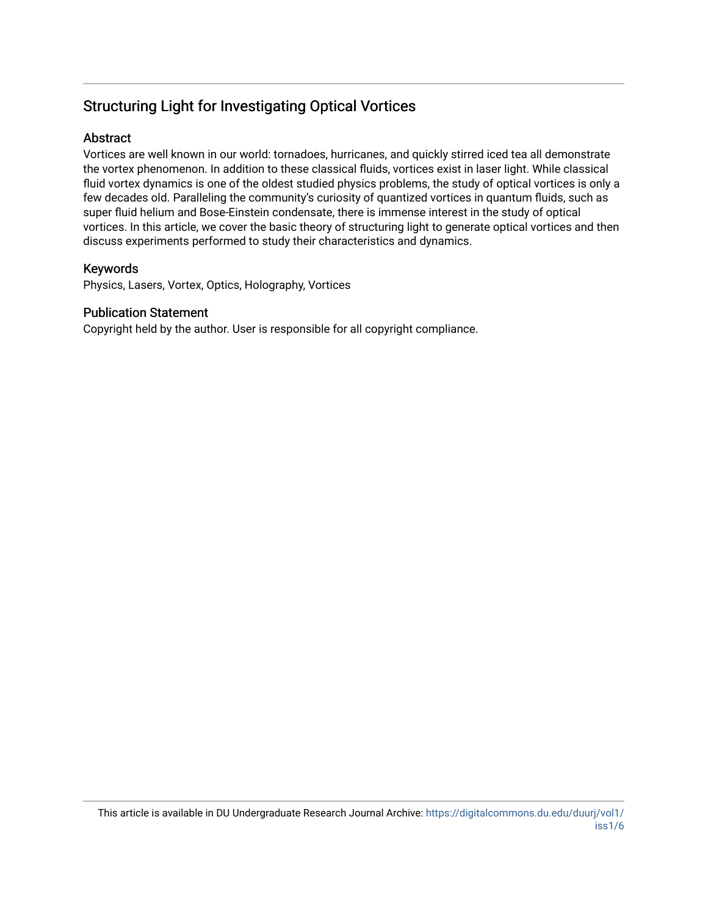# Structuring Light for Investigating Optical Vortices

## **Abstract**

Vortices are well known in our world: tornadoes, hurricanes, and quickly stirred iced tea all demonstrate the vortex phenomenon. In addition to these classical fluids, vortices exist in laser light. While classical fluid vortex dynamics is one of the oldest studied physics problems, the study of optical vortices is only a few decades old. Paralleling the community's curiosity of quantized vortices in quantum fluids, such as super fluid helium and Bose-Einstein condensate, there is immense interest in the study of optical vortices. In this article, we cover the basic theory of structuring light to generate optical vortices and then discuss experiments performed to study their characteristics and dynamics.

## Keywords

Physics, Lasers, Vortex, Optics, Holography, Vortices

## Publication Statement

Copyright held by the author. User is responsible for all copyright compliance.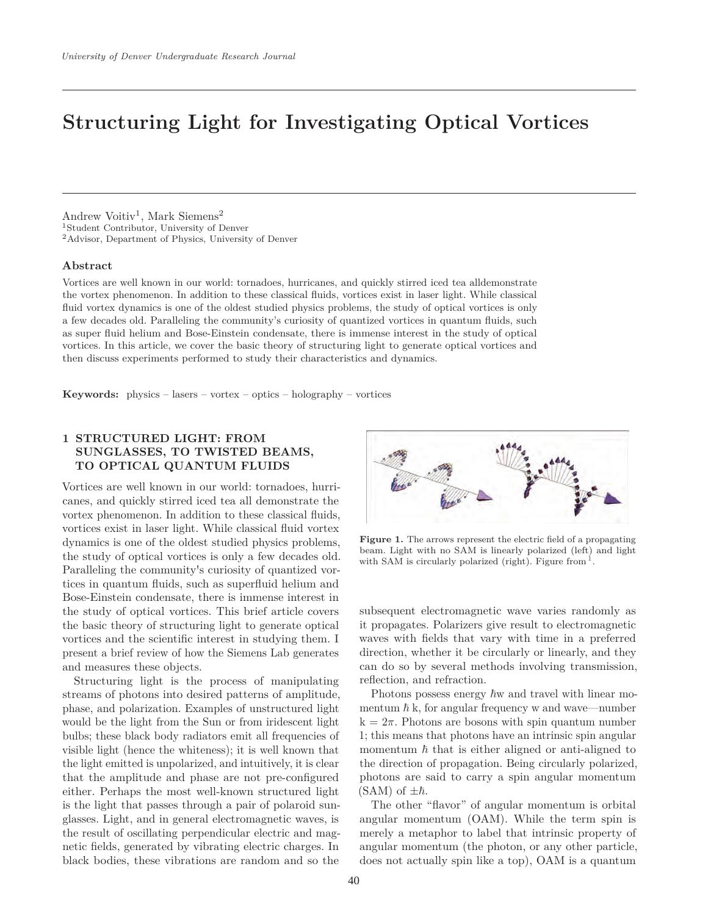# **Structuring Light for Investigating Optical Vortices**

Andrew Voitiv<sup>1</sup>, Mark Siemens<sup>2</sup> <sup>1</sup>Student Contributor, University of Denver <sup>2</sup>Advisor, Department of Physics, University of Denver

### **Abstract**

Vortices are well known in our world: tornadoes, hurricanes, and quickly stirred iced tea alldemonstrate the vortex phenomenon. In addition to these classical fluids, vortices exist in laser light. While classical fluid vortex dynamics is one of the oldest studied physics problems, the study of optical vortices is only a few decades old. Paralleling the community's curiosity of quantized vortices in quantum fluids, such as super fluid helium and Bose-Einstein condensate, there is immense interest in the study of optical vortices. In this article, we cover the basic theory of structuring light to generate optical vortices and then discuss experiments performed to study their characteristics and dynamics.

**Keywords:** physics – lasers – vortex – optics – holography – vortices

### **1 STRUCTURED LIGHT: FROM SUNGLASSES, TO TWISTED BEAMS, TO OPTICAL QUANTUM FLUIDS**

Vortices are well known in our world: tornadoes, hurricanes, and quickly stirred iced tea all demonstrate the vortex phenomenon. In addition to these classical fluids, vortices exist in laser light. While classical fluid vortex dynamics is one of the oldest studied physics problems, the study of optical vortices is only a few decades old. Paralleling the community's curiosity of quantized vortices in quantum fluids, such as superfluid helium and Bose-Einstein condensate, there is immense interest in the study of optical vortices. This brief article covers the basic theory of structuring light to generate optical vortices and the scientific interest in studying them. I present a brief review of how the Siemens Lab generates and measures these objects.

Structuring light is the process of manipulating streams of photons into desired patterns of amplitude, phase, and polarization. Examples of unstructured light would be the light from the Sun or from iridescent light bulbs; these black body radiators emit all frequencies of visible light (hence the whiteness); it is well known that the light emitted is unpolarized, and intuitively, it is clear that the amplitude and phase are not pre-configured either. Perhaps the most well-known structured light is the light that passes through a pair of polaroid sunglasses. Light, and in general electromagnetic waves, is the result of oscillating perpendicular electric and magnetic fields, generated by vibrating electric charges. In black bodies, these vibrations are random and so the



**Figure 1.** The arrows represent the electric field of a propagating beam. Light with no SAM is linearly polarized (left) and light with SAM is circularly polarized (right). Figure from  $<sup>1</sup>$ .</sup>

subsequent electromagnetic wave varies randomly as it propagates. Polarizers give result to electromagnetic waves with fields that vary with time in a preferred direction, whether it be circularly or linearly, and they can do so by several methods involving transmission, reflection, and refraction.

Photons possess energy  $\hbar$ w and travel with linear momentum  $\hbar$  k, for angular frequency w and wave—number  $k=2\pi$ . Photons are bosons with spin quantum number 1; this means that photons have an intrinsic spin angular momentum  $\hbar$  that is either aligned or anti-aligned to the direction of propagation. Being circularly polarized, photons are said to carry a spin angular momentum  $(SAM)$  of  $\pm \hbar$ .

The other "flavor" of angular momentum is orbital angular momentum (OAM). While the term spin is merely a metaphor to label that intrinsic property of angular momentum (the photon, or any other particle, does not actually spin like a top), OAM is a quantum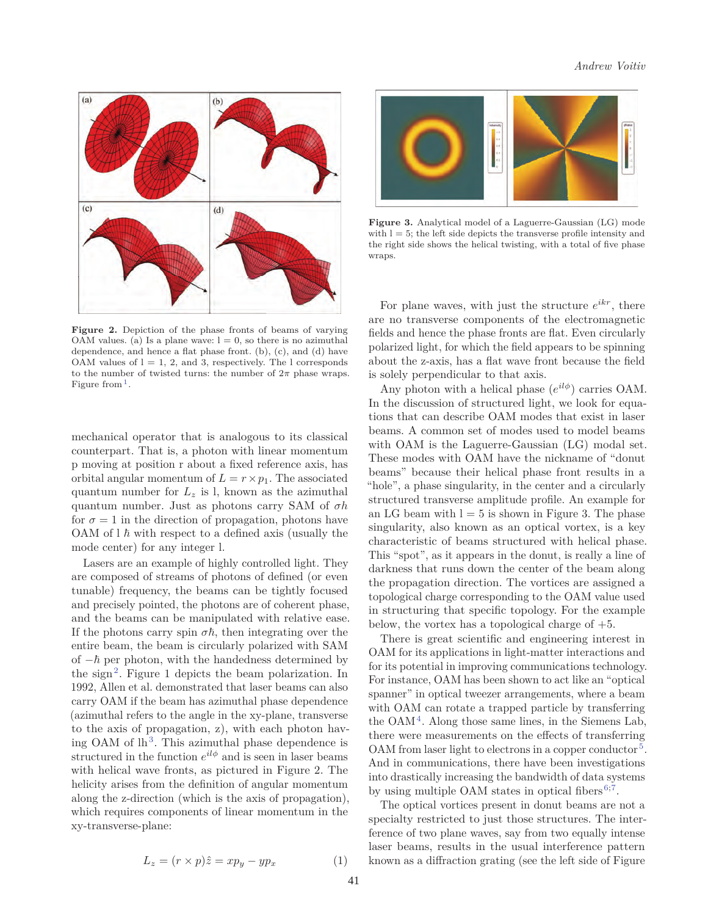

**Figure 2.** Depiction of the phase fronts of beams of varying OAM values. (a) Is a plane wave:  $l = 0$ , so there is no azimuthal dependence, and hence a flat phase front. (b), (c), and (d) have OAM values of  $l = 1, 2,$  and 3, respectively. The l corresponds to the number of twisted turns: the number of  $2\pi$  phase wraps. Figure from  $<sup>1</sup>$ .</sup>

mechanical operator that is analogous to its classical counterpart. That is, a photon with linear momentum p moving at position r about a fixed reference axis, has orbital angular momentum of  $L = r \times p_1$ . The associated quantum number for  $L_z$  is l, known as the azimuthal quantum number. Just as photons carry SAM of *σh* for  $\sigma = 1$  in the direction of propagation, photons have OAM of  $l \hbar$  with respect to a defined axis (usually the mode center) for any integer l.

Lasers are an example of highly controlled light. They are composed of streams of photons of defined (or even tunable) frequency, the beams can be tightly focused and precisely pointed, the photons are of coherent phase, and the beams can be manipulated with relative ease. If the photons carry spin  $\sigma\hbar$ , then integrating over the entire beam, the beam is circularly polarized with SAM of  $-\hbar$  per photon, with the handedness determined by the sign<sup>2</sup>. Figure 1 depicts the beam polarization. In 1992, Allen et al. demonstrated that laser beams can also carry OAM if the beam has azimuthal phase dependence (azimuthal refers to the angle in the xy-plane, transverse to the axis of propagation, z), with each photon having OAM of  $lh^3$ . This azimuthal phase dependence is structured in the function  $e^{il\phi}$  and is seen in laser beams with helical wave fronts, as pictured in Figure 2. The helicity arises from the definition of angular momentum along the z-direction (which is the axis of propagation), which requires components of linear momentum in the xy-transverse-plane:

$$
L_z = (r \times p)\hat{z} = xp_y - yp_x \tag{1}
$$



**Figure 3.** Analytical model of a Laguerre-Gaussian (LG) mode with  $l = 5$ ; the left side depicts the transverse profile intensity and the right side shows the helical twisting, with a total of five phase wraps.

For plane waves, with just the structure  $e^{ikr}$ , there are no transverse components of the electromagnetic fields and hence the phase fronts are flat. Even circularly polarized light, for which the field appears to be spinning about the z-axis, has a flat wave front because the field is solely perpendicular to that axis.

Any photon with a helical phase  $(e^{il\phi})$  carries OAM. In the discussion of structured light, we look for equations that can describe OAM modes that exist in laser beams. A common set of modes used to model beams with OAM is the Laguerre-Gaussian (LG) modal set. These modes with OAM have the nickname of "donut beams" because their helical phase front results in a "hole", a phase singularity, in the center and a circularly structured transverse amplitude profile. An example for an LG beam with  $l = 5$  is shown in Figure 3. The phase singularity, also known as an optical vortex, is a key characteristic of beams structured with helical phase. This "spot", as it appears in the donut, is really a line of darkness that runs down the center of the beam along the propagation direction. The vortices are assigned a topological charge corresponding to the OAM value used in structuring that specific topology. For the example below, the vortex has a topological charge of +5.

There is great scientific and engineering interest in OAM for its applications in light-matter interactions and for its potential in improving communications technology. For instance, OAM has been shown to act like an "optical spanner" in optical tweezer arrangements, where a beam with OAM can rotate a trapped particle by transferring the  $OAM<sup>4</sup>$ . Along those same lines, in the Siemens Lab, there were measurements on the effects of transferring OAM from laser light to electrons in a copper conductor<sup>5</sup>. And in communications, there have been investigations into drastically increasing the bandwidth of data systems by using multiple OAM states in optical fibers<sup>6;7</sup>.

The optical vortices present in donut beams are not a specialty restricted to just those structures. The interference of two plane waves, say from two equally intense laser beams, results in the usual interference pattern known as a diffraction grating (see the left side of Figure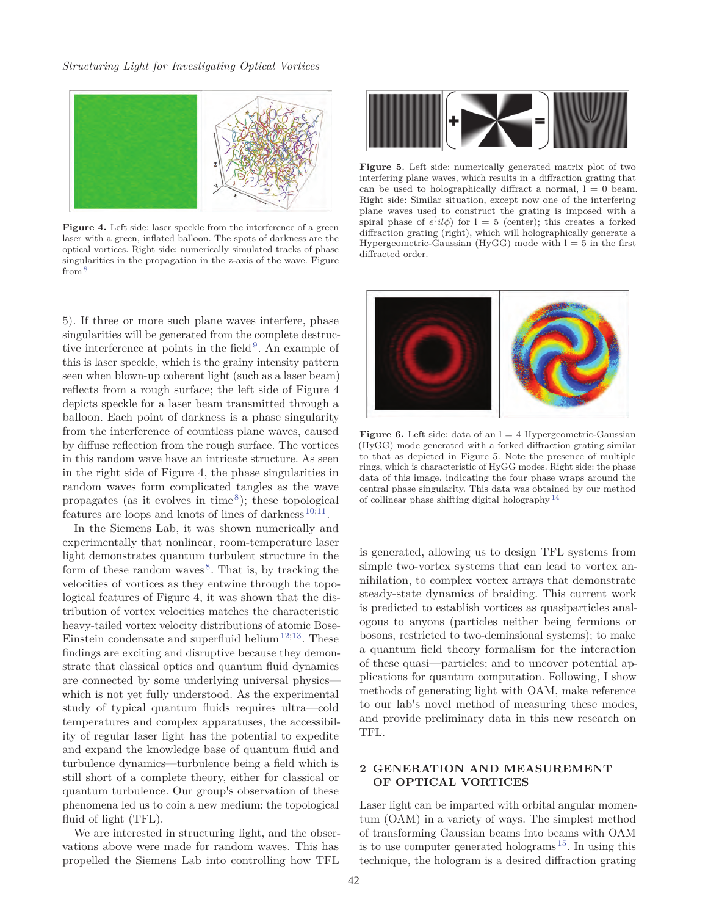

**Figure 4.** Left side: laser speckle from the interference of a green laser with a green, inflated balloon. The spots of darkness are the optical vortices. Right side: numerically simulated tracks of phase singularities in the propagation in the z-axis of the wave. Figure from<sup>8</sup>

5). If three or more such plane waves interfere, phase singularities will be generated from the complete destructive interference at points in the field $9$ . An example of this is laser speckle, which is the grainy intensity pattern seen when blown-up coherent light (such as a laser beam) reflects from a rough surface; the left side of Figure 4 depicts speckle for a laser beam transmitted through a balloon. Each point of darkness is a phase singularity from the interference of countless plane waves, caused by diffuse reflection from the rough surface. The vortices in this random wave have an intricate structure. As seen in the right side of Figure 4, the phase singularities in random waves form complicated tangles as the wave propagates (as it evolves in time<sup>8</sup>); these topological features are loops and knots of lines of darkness<sup>10;11</sup>.

In the Siemens Lab, it was shown numerically and experimentally that nonlinear, room-temperature laser light demonstrates quantum turbulent structure in the form of these random waves<sup>8</sup>. That is, by tracking the velocities of vortices as they entwine through the topological features of Figure 4, it was shown that the distribution of vortex velocities matches the characteristic heavy-tailed vortex velocity distributions of atomic Bose-Einstein condensate and superfluid helium<sup>12;13</sup>. These findings are exciting and disruptive because they demonstrate that classical optics and quantum fluid dynamics are connected by some underlying universal physics which is not yet fully understood. As the experimental study of typical quantum fluids requires ultra—cold temperatures and complex apparatuses, the accessibility of regular laser light has the potential to expedite and expand the knowledge base of quantum fluid and turbulence dynamics—turbulence being a field which is still short of a complete theory, either for classical or quantum turbulence. Our group's observation of these phenomena led us to coin a new medium: the topological fluid of light (TFL).

We are interested in structuring light, and the observations above were made for random waves. This has propelled the Siemens Lab into controlling how TFL



**Figure 5.** Left side: numerically generated matrix plot of two interfering plane waves, which results in a diffraction grating that can be used to holographically diffract a normal,  $l=0$  beam. Right side: Similar situation, except now one of the interfering plane waves used to construct the grating is imposed with a spiral phase of  $e^{i}il\phi$ ) for  $l = 5$  (center); this creates a forked diffraction grating (right), which will holographically generate a Hypergeometric-Gaussian (HyGG) mode with  $l = 5$  in the first diffracted order.



**Figure 6.** Left side: data of an  $l = 4$  Hypergeometric-Gaussian (HyGG) mode generated with a forked diffraction grating similar to that as depicted in Figure 5. Note the presence of multiple rings, which is characteristic of HyGG modes. Right side: the phase data of this image, indicating the four phase wraps around the central phase singularity. This data was obtained by our method of collinear phase shifting digital holography  $14$ 

is generated, allowing us to design TFL systems from simple two-vortex systems that can lead to vortex annihilation, to complex vortex arrays that demonstrate steady-state dynamics of braiding. This current work is predicted to establish vortices as quasiparticles analogous to anyons (particles neither being fermions or bosons, restricted to two-deminsional systems); to make a quantum field theory formalism for the interaction of these quasi—particles; and to uncover potential applications for quantum computation. Following, I show methods of generating light with OAM, make reference to our lab's novel method of measuring these modes, and provide preliminary data in this new research on TFL.

### **2 GENERATION AND MEASUREMENT OF OPTICAL VORTICES**

Laser light can be imparted with orbital angular momentum (OAM) in a variety of ways. The simplest method of transforming Gaussian beams into beams with OAM is to use computer generated holograms <sup>15</sup>. In using this technique, the hologram is a desired diffraction grating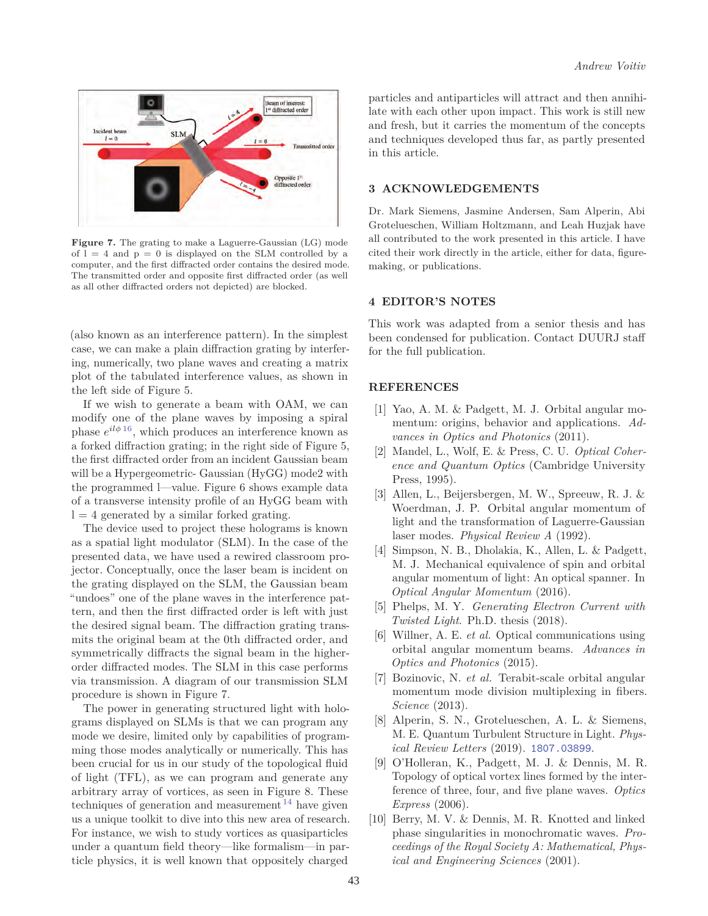

**Figure 7.** The grating to make a Laguerre-Gaussian (LG) mode of  $l = 4$  and  $p = 0$  is displayed on the SLM controlled by a computer, and the first diffracted order contains the desired mode. The transmitted order and opposite first diffracted order (as well as all other diffracted orders not depicted) are blocked.

(also known as an interference pattern). In the simplest case, we can make a plain diffraction grating by interfering, numerically, two plane waves and creating a matrix plot of the tabulated interference values, as shown in the left side of Figure 5.

If we wish to generate a beam with OAM, we can modify one of the plane waves by imposing a spiral phase  $e^{il\phi 16}$ , which produces an interference known as a forked diffraction grating; in the right side of Figure 5, the first diffracted order from an incident Gaussian beam will be a Hypergeometric- Gaussian (HyGG) mode2 with the programmed l—value. Figure 6 shows example data of a transverse intensity profile of an HyGG beam with  $l = 4$  generated by a similar forked grating.

The device used to project these holograms is known as a spatial light modulator (SLM). In the case of the presented data, we have used a rewired classroom projector. Conceptually, once the laser beam is incident on the grating displayed on the SLM, the Gaussian beam "undoes" one of the plane waves in the interference pattern, and then the first diffracted order is left with just the desired signal beam. The diffraction grating transmits the original beam at the 0th diffracted order, and symmetrically diffracts the signal beam in the higherorder diffracted modes. The SLM in this case performs via transmission. A diagram of our transmission SLM procedure is shown in Figure 7.

The power in generating structured light with holograms displayed on SLMs is that we can program any mode we desire, limited only by capabilities of programming those modes analytically or numerically. This has been crucial for us in our study of the topological fluid of light (TFL), as we can program and generate any arbitrary array of vortices, as seen in Figure 8. These techniques of generation and measurement  $14$  have given us a unique toolkit to dive into this new area of research. For instance, we wish to study vortices as quasiparticles under a quantum field theory—like formalism—in particle physics, it is well known that oppositely charged

particles and antiparticles will attract and then annihilate with each other upon impact. This work is still new and fresh, but it carries the momentum of the concepts and techniques developed thus far, as partly presented in this article.

### **3 ACKNOWLEDGEMENTS**

Dr. Mark Siemens, Jasmine Andersen, Sam Alperin, Abi Grotelueschen, William Holtzmann, and Leah Huzjak have all contributed to the work presented in this article. I have cited their work directly in the article, either for data, figuremaking, or publications.

### **4 EDITOR'S NOTES**

This work was adapted from a senior thesis and has been condensed for publication. Contact DUURJ staff for the full publication.

### **REFERENCES**

- [1] Yao, A. M. & Padgett, M. J. Orbital angular momentum: origins, behavior and applications. *Advances in Optics and Photonics* (2011).
- [2] Mandel, L., Wolf, E. & Press, C. U. *Optical Coherence and Quantum Optics* (Cambridge University Press, 1995).
- [3] Allen, L., Beijersbergen, M. W., Spreeuw, R. J. & Woerdman, J. P. Orbital angular momentum of light and the transformation of Laguerre-Gaussian laser modes. *Physical Review A* (1992).
- [4] Simpson, N. B., Dholakia, K., Allen, L. & Padgett, M. J. Mechanical equivalence of spin and orbital angular momentum of light: An optical spanner. In *Optical Angular Momentum* (2016).
- [5] Phelps, M. Y. *Generating Electron Current with Twisted Light*. Ph.D. thesis (2018).
- [6] Willner, A. E. *et al.* Optical communications using orbital angular momentum beams. *Advances in Optics and Photonics* (2015).
- [7] Bozinovic, N. *et al.* Terabit-scale orbital angular momentum mode division multiplexing in fibers. *Science* (2013).
- [8] Alperin, S. N., Grotelueschen, A. L. & Siemens, M. E. Quantum Turbulent Structure in Light. *Physical Review Letters* (2019). 1807.03899.
- [9] O'Holleran, K., Padgett, M. J. & Dennis, M. R. Topology of optical vortex lines formed by the interference of three, four, and five plane waves. *Optics Express* (2006).
- [10] Berry, M. V. & Dennis, M. R. Knotted and linked phase singularities in monochromatic waves. *Proceedings of the Royal Society A: Mathematical, Physical and Engineering Sciences* (2001).